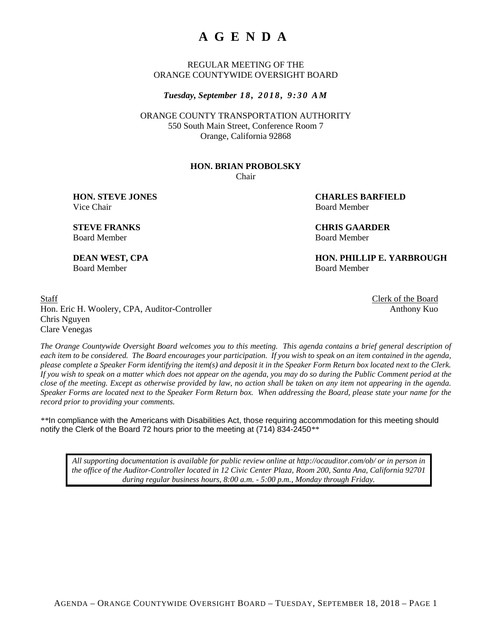# **AGENDA**

REGULAR MEETING OF THE ORANGE COUNTYWIDE OVERSIGHT BOARD

*Tuesday, September 1 8 , 2 0 1 8 , 9 : 3 0 A M* 

ORANGE COUNTY TRANSPORTATION AUTHORITY 550 South Main Street, Conference Room 7 Orange, California 92868

#### **HON. BRIAN PROBOLSKY**

Chair

Vice Chair **Board Member** Board Member

 **HON. STEVE JONES** CHARLES BARFIELD

**STEVE FRANKS CHRIS GAARDER**  Board Member Board Member

**DEAN WEST, CPA HON. PHILLIP E. YARBROUGH** Board Member Board Member

Staff Clerk of the Board Hon. Eric H. Woolery, CPA, Auditor-Controller Anthony Kuo Chris Nguyen Clare Venegas

*The Orange Countywide Oversight Board welcomes you to this meeting. This agenda contains a brief general description of each item to be considered. The Board encourages your participation. If you wish to speak on an item contained in the agenda, please complete a Speaker Form identifying the item(s) and deposit it in the Speaker Form Return box located next to the Clerk. If you wish to speak on a matter which does not appear on the agenda, you may do so during the Public Comment period at the close of the meeting. Except as otherwise provided by law, no action shall be taken on any item not appearing in the agenda. Speaker Forms are located next to the Speaker Form Return box. When addressing the Board, please state your name for the record prior to providing your comments.* 

*\*\**In compliance with the Americans with Disabilities Act, those requiring accommodation for this meeting should notify the Clerk of the Board 72 hours prior to the meeting at (714) 834-2450*\*\** 

*All supporting documentation is available for public review online at http://ocauditor.com/ob/ or in person in the office of the Auditor-Controller located in 12 Civic Center Plaza, Room 200, Santa Ana, California 92701 during regular business hours, 8:00 a.m. - 5:00 p.m., Monday through Friday.*